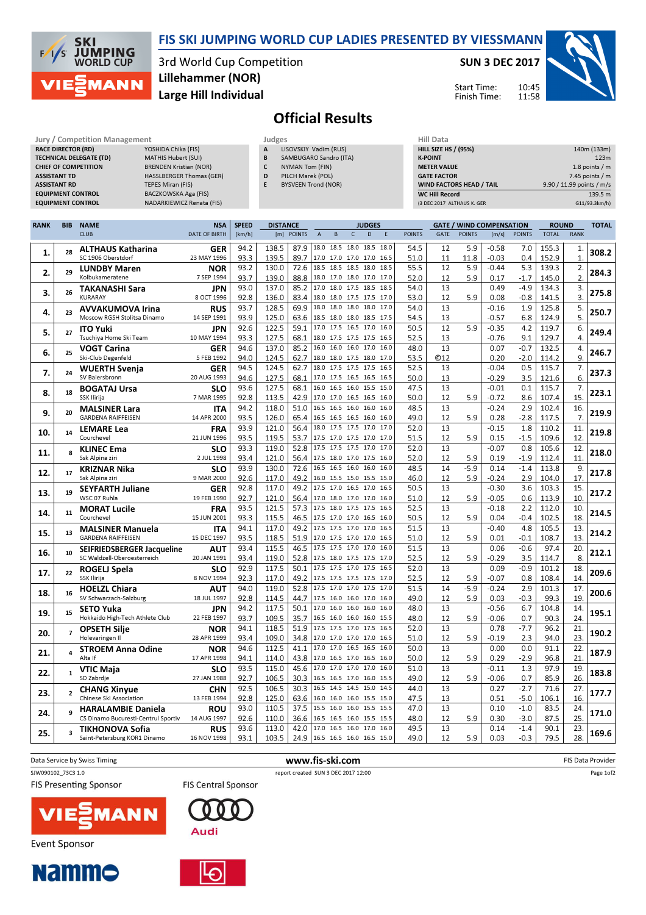

### FIS SKI JUMPING WORLD CUP LADIES PRESENTED BY VIESSMANN

3rd World Cup Competition Large Hill Individual Lillehammer (NOR)

#### SUN 3 DEC 2017

Start Time: Finish Time:



Official Results

| Jury / Competition Management  |                                 | Judges       |                            | <b>Hill Data</b>   |
|--------------------------------|---------------------------------|--------------|----------------------------|--------------------|
| <b>RACE DIRECTOR (RD)</b>      | YOSHIDA Chika (FIS)             | $\mathbf{A}$ | LISOVSKIY Vadim (RUS)      | <b>HILL SIZE H</b> |
| <b>TECHNICAL DELEGATE (TD)</b> | MATHIS Hubert (SUI)             | B            | SAMBUGARO Sandro (ITA)     | <b>K-POINT</b>     |
| <b>CHIEF OF COMPETITION</b>    | <b>BRENDEN Kristian (NOR)</b>   |              | NYMAN Tom (FIN)            | <b>METER VAI</b>   |
| <b>ASSISTANT TD</b>            | <b>HASSLBERGER Thomas (GER)</b> | D            | PILCH Marek (POL)          | <b>GATE FACT</b>   |
| <b>ASSISTANT RD</b>            | <b>TEPES Miran (FIS)</b>        |              | <b>BYSVEEN Trond (NOR)</b> | <b>WIND FACT</b>   |
| <b>EQUIPMENT CONTROL</b>       | BACZKOWSKA Aga (FIS)            |              |                            | <b>WC Hill Reg</b> |
| <b>EQUIPMENT CONTROL</b>       | NADARKIEWICZ Renata (FIS)       |              |                            | (3 DEC 2017        |

| Hill Data                       |                           |
|---------------------------------|---------------------------|
| <b>HILL SIZE HS / (95%)</b>     | 140m (133m)               |
| <b>K-POINT</b>                  | 123m                      |
| <b>METER VALUE</b>              | 1.8 points $/m$           |
| <b>GATE FACTOR</b>              | 7.45 points $/m$          |
| <b>WIND FACTORS HEAD / TAIL</b> | 9.90 / 11.99 points / m/s |
| <b>WC Hill Record</b>           | 139.5 m                   |
| (3 DEC 2017 ALTHAUS K. GER      | G11/93.3km/h)             |

| <b>CLUB</b><br><b>DATE OF BIRTH</b><br>[m]<br><b>POINTS</b><br>D<br>GATE<br><b>POINTS</b><br>[m/s]<br><b>POINTS</b><br><b>TOTAL</b><br><b>RANK</b><br>[km/h]<br>$\overline{A}$<br>C<br>E<br><b>POINTS</b><br>B<br>18.0 18.5 18.0 18.5 18.0<br>94.2<br>138.5<br>87.9<br>54.5<br>12<br>5.9<br>$-0.58$<br>7.0<br>155.3<br>ALTHAUS Katharina<br><b>GER</b><br>1.<br>308.2<br>1.<br>28<br>SC 1906 Oberstdorf<br>23 MAY 1996<br>93.3<br>139.5<br>89.7<br>17.0 17.0 17.0 17.0 16.5<br>11.8<br>152.9<br>$\mathbf{1}$<br>51.0<br>11<br>$-0.03$<br>0.4<br>130.0<br>18.5<br>18.5 18.5 18.0 18.5<br>5.9<br>93.2<br>72.6<br>55.5<br>12<br>$-0.44$<br>5.3<br>139.3<br>2.<br><b>NOR</b><br><b>LUNDBY Maren</b><br>284.3<br>2.<br>29<br>Kolbukameratene<br>7 SEP 1994<br>93.7<br>139.0<br>88.8<br>18.0 17.0 18.0 17.0 17.0<br>5.9<br>2.<br>52.0<br>12<br>0.17<br>$-1.7$<br>145.0<br>17.0<br>18.0 17.5 18.5 18.5<br>93.0<br>137.0<br>85.2<br>54.0<br>13<br>0.49<br>$-4.9$<br>3.<br>134.3<br><b>JPN</b><br><b>TAKANASHI Sara</b><br>275.8<br>3.<br>26<br><b>KURARAY</b><br>8 OCT 1996<br>92.8<br>136.0<br>83.4<br>18.0 18.0 17.5 17.5 17.0<br>12<br>5.9<br>3.<br>53.0<br>0.08<br>$-0.8$<br>141.5<br>5.<br>93.7<br>128.5<br>69.9<br>18.0 18.0 18.0 18.0 17.0<br>54.0<br>13<br>$-0.16$<br>1.9<br>125.8<br><b>AVVAKUMOVA Irina</b><br><b>RUS</b><br>23<br>250.7<br>4.<br>5.<br>93.9<br>125.0<br>6.8<br>124.9<br>14 SEP 1991<br>63.6<br>54.5<br>13<br>$-0.57$<br>Moscow RGSH Stolitsa Dinamo<br>18.5 18.0 18.0 18.5 17.5<br>122.5<br>12<br>6.<br>92.6<br>59.1<br>17.0<br>17.5 16.5 17.0 16.0<br>50.5<br>5.9<br>$-0.35$<br>4.2<br>119.7<br><b>JPN</b><br><b>ITO Yuki</b><br>249.4<br>5.<br>27<br>93.3<br>68.1<br>Tsuchiya Home Ski Team<br>10 MAY 1994<br>127.5<br>18.0 17.5 17.5 17.5 16.5<br>52.5<br>13<br>$-0.76$<br>9.1<br>129.7<br>4.<br>137.0<br>16.0 16.0 17.0 16.0<br>13<br>94.6<br>85.2<br>16.0<br>48.0<br>0.07<br>$-0.7$<br>132.5<br>4.<br><b>VOGT Carina</b><br>GER<br>246.7<br>6.<br>25<br>9.<br>Ski-Club Degenfeld<br>5 FEB 1992<br>94.0<br>124.5<br>62.7<br>53.5<br><b>©12</b><br>0.20<br>$-2.0$<br>114.2<br>18.0 18.0 17.5 18.0 17.0<br>94.5<br>124.5<br>18.0<br>17.5 17.5 17.5 16.5<br>52.5<br>0.5<br>62.7<br>13<br>$-0.04$<br>115.7<br>7.<br><b>GER</b><br><b>WUERTH Svenja</b><br>237.3<br>7.<br>24<br>6.<br>127.5<br>13<br>$-0.29$<br>SV Baiersbronn<br>20 AUG 1993<br>94.6<br>68.1<br>17.0 17.5 16.5 16.5 16.5<br>50.0<br>3.5<br>121.6<br>127.5<br>47.5<br>13<br>7.<br>93.6<br>68.1<br>16.0<br>16.5 16.0 15.5 15.0<br>$-0.01$<br>0.1<br>115.7<br><b>BOGATAJ Ursa</b><br><b>SLO</b><br>223.1<br>8.<br>18<br>SSK Ilirija<br>7 MAR 1995<br>92.8<br>113.5<br>42.9<br>17.0 17.0 16.5 16.5 16.0<br>50.0<br>12<br>15.<br>5.9<br>$-0.72$<br>8.6<br>107.4<br>51.0<br>16.5<br>16.5 16.0 16.0 16.0<br>94.2<br>118.0<br>13<br>$-0.24$<br>2.9<br>102.4<br>16.<br>48.5<br><b>MALSINER Lara</b><br><b>ITA</b><br>219.9<br>9.<br>20<br><b>GARDENA RAIFFEISEN</b><br>14 APR 2000<br>93.5<br>126.0<br>16.5 16.5 16.5 16.0 16.0<br>49.0<br>12<br>5.9<br>$-2.8$<br>7.<br>65.4<br>0.28<br>117.5<br>121.0<br>18.0 17.5 17.5 17.0 17.0<br>93.9<br>56.4<br>52.0<br>13<br>$-0.15$<br>1.8<br>110.2<br>11.<br><b>FRA</b><br><b>LEMARE Lea</b><br>219.8<br>10.<br>14<br>93.5<br>119.5<br>109.6<br>12.<br>Courchevel<br>21 JUN 1996<br>53.7<br>17.5 17.0 17.5 17.0 17.0<br>51.5<br>12<br>5.9<br>0.15<br>$-1.5$<br>93.3<br>119.0<br>52.8<br>17.5 17.5 17.5 17.0 17.0<br>52.0<br>13<br>$-0.07$<br>0.8<br>105.6<br>12.<br><b>KLINEC Ema</b><br><b>SLO</b><br>$\mathbf{R}$<br>218.0<br>11.<br>$-1.9$<br>2 JUL 1998<br>93.4<br>121.0<br>56.4<br>52.0<br>12<br>5.9<br>0.19<br>112.4<br>11.<br>Ssk Alpina ziri<br>17.5 18.0 17.0 17.5 16.0<br>93.9<br>130.0<br>72.6<br>16.5<br>16.5 16.0 16.0 16.0<br>48.5<br>14<br>$-5.9$<br>$-1.4$<br>9.<br>0.14<br>113.8<br><b>KRIZNAR Nika</b><br><b>SLO</b><br>17<br>217.8<br>12.<br>Ssk Alpina ziri<br>9 MAR 2000<br>92.6<br>117.0<br>49.2<br>46.0<br>12<br>5.9<br>$-0.24$<br>2.9<br>104.0<br>17.<br>16.0 15.5 15.0 15.5 15.0<br>92.8<br>117.0<br>49.2<br>17.5 17.0 16.5 17.0 16.5<br>50.5<br>13<br>$-0.30$<br>3.6<br>103.3<br>15.<br><b>GER</b><br><b>SEYFARTH Juliane</b><br>217.2<br>13.<br>19<br>92.7<br>113.9<br>10.<br>WSC 07 Ruhla<br>121.0<br>56.4<br>51.0<br>12<br>5.9<br>$-0.05$<br>0.6<br>19 FEB 1990<br>17.0 18.0 17.0 17.0 16.0<br>93.5<br>121.5<br>18.0 17.5 17.5 16.5<br>52.5<br>13<br>$-0.18$<br>10.<br>57.3<br>17.5<br>2.2<br>112.0<br><b>MORAT Lucile</b><br><b>FRA</b><br>214.5<br>14.<br>11<br>46.5<br>18.<br>Courchevel<br>15 JUN 2001<br>93.3<br>115.5<br>17.5 17.0 17.0 16.5 16.0<br>50.5<br>12<br>5.9<br>0.04<br>-0.4<br>102.5<br>17.5 17.5 17.0 17.0 16.5<br>94.1<br>117.0<br>49.2<br>51.5<br>13<br>$-0.40$<br>4.8<br>105.5<br>13.<br><b>MALSINER Manuela</b><br><b>ITA</b><br>214.2<br>13<br>15.<br><b>GARDENA RAIFFEISEN</b><br>15 DEC 1997<br>93.5<br>51.9<br>17.0 17.5 17.0 17.0 16.5<br>108.7<br>13.<br>118.5<br>51.0<br>12<br>5.9<br>0.01<br>$-0.1$<br>17.5 17.5 17.0 17.0 16.0<br>20.<br>93.4<br>115.5<br>46.5<br>51.5<br>13<br>0.06<br>$-0.6$<br>97.4<br><b>SEIFRIEDSBERGER Jacqueline</b><br>AUT<br>16.<br>212.1<br>10<br>93.4<br>119.0<br>3.5<br>8.<br>SC Waldzell-Oberoesterreich<br>20 JAN 1991<br>52.8<br>17.5 18.0 17.5 17.5 17.0<br>52.5<br>12<br>5.9<br>$-0.29$<br>114.7<br>17.5 17.0 17.5 16.5<br>92.9<br>117.5<br>50.1<br>17.5<br>52.0<br>13<br>0.09<br>$-0.9$<br>101.2<br>18.<br>ROGELJ Spela<br><b>SLO</b><br>209.6<br>22<br>17.<br>SSK Ilirija<br>8 NOV 1994<br>92.3<br>117.0<br>49.2<br>17.5 17.5 17.5 17.5 17.0<br>52.5<br>12<br>5.9<br>$-0.07$<br>0.8<br>108.4<br>14.<br>119.0<br>17.5 17.0 17.0 17.5 17.0<br>$-5.9$<br>2.9<br>17.<br>94.0<br>52.8<br>51.5<br>14<br>$-0.24$<br>101.3<br><b>HOELZL Chiara</b><br><b>AUT</b><br>200.6<br>18.<br>16<br>19.<br>92.8<br>114.5<br>44.7<br>49.0<br>12<br>5.9<br>0.03<br>$-0.3$<br>99.3<br>SV Schwarzach-Salzburg<br>18 JUL 1997<br>17.5 16.0 16.0 17.0 16.0<br>117.5<br>17.0 16.0 16.0 16.0 16.0<br>94.2<br>50.1<br>48.0<br>13<br>$-0.56$<br>6.7<br>104.8<br>14.<br><b>JPN</b><br><b>SETO Yuka</b><br>195.1<br>19.<br>15<br>93.7<br>109.5<br>12<br>5.9<br>90.3<br>24.<br>Hokkaido High-Tech Athlete Club<br>22 FEB 1997<br>35.7<br>16.5 16.0 16.0 16.0 15.5<br>48.0<br>$-0.06$<br>0.7<br>118.5<br>13<br>$-7.7$<br>21.<br>94.1<br>51.9<br>17.5 17.5 17.0 17.5 16.5<br>52.0<br>0.78<br>96.2<br><b>NOR</b><br><b>OPSETH Silje</b><br>190.2<br>20.<br>$\overline{7}$<br>Holevaringen II<br>28 APR 1999<br>93.4<br>109.0<br>34.8<br>17.0 17.0 17.0 17.0 16.5<br>94.0<br>23.<br>51.0<br>12<br>5.9<br>$-0.19$<br>2.3<br>112.5<br>41.1<br>17.0<br>17.0 16.5 16.5 16.0<br>13<br>0.00<br>0.0<br>91.1<br>22.<br>94.6<br>50.0<br><b>STROEM Anna Odine</b><br><b>NOR</b><br>187.9<br>21.<br>17 APR 1998<br>43.8<br>17.0 16.5 17.0 16.5 16.0<br>5.9<br>0.29<br>$-2.9$<br>96.8<br>21.<br>Alta If<br>94.1<br>114.0<br>50.0<br>12<br>17.0 17.0 17.0 17.0 16.0<br>19.<br>93.5<br>115.0<br>45.6<br>51.0<br>13<br>$-0.11$<br>1.3<br>97.9<br><b>VTIC Maja</b><br><b>SLO</b><br>183.8<br>22.<br>85.9<br>26.<br>SD Zabrdie<br>27 JAN 1988<br>92.7<br>106.5<br>30.3<br>49.0<br>12<br>5.9<br>$-0.06$<br>0.7<br>16.5 16.5 17.0 16.0 15.5<br>92.5<br>106.5<br>16.5<br>14.5 14.5 15.0<br>14.5<br>13<br>$-2.7$<br>71.6<br>27.<br>30.3<br>44.0<br>0.27<br><b>CHANG Xinyue</b><br><b>CHN</b><br>177.7<br>23.<br>$\overline{2}$<br>Chinese Ski Association<br>13 FEB 1994<br>92.8<br>125.0<br>63.6<br>16.0 16.0 16.0 15.5 15.0<br>47.5<br>13<br>0.51<br>$-5.0$<br>106.1<br>16.<br>110.5<br>93.0<br>37.5<br>15.5<br>16.0 16.0 15.5 15.5<br>47.0<br>13<br>0.10<br>$-1.0$<br>83.5<br>24.<br><b>ROU</b><br><b>HARALAMBIE Daniela</b><br>171.0<br>24.<br>$\mathbf{q}$<br>25.<br>92.6<br>110.0<br>36.6<br>48.0<br>12<br>5.9<br>$-3.0$<br>87.5<br>CS Dinamo Bucuresti-Centrul Sportiv<br>14 AUG 1997<br>16.5 16.5 16.0 15.5 15.5<br>0.30<br>$-1.4$<br>93.6<br>113.0<br>42.0<br>17.0 16.5 16.0 17.0 16.0<br>49.5<br>13<br>0.14<br>90.1<br>23.<br><b>RUS</b><br>TIKHONOVA Sofia<br>169.6<br>25.<br>28.<br>93.1<br>103.5<br>24.9<br>49.0<br>12<br>5.9<br>$-0.3$<br>79.5<br>Saint-Petersburg KOR1 Dinamo<br>16 NOV 1998<br>16.5 16.5 16.0 16.5 15.0<br>0.03 | <b>RANK</b> | <b>BIB</b> | <b>NAME</b> | <b>NSA</b><br><b>SPEED</b><br><b>DISTANCE</b><br><b>JUDGES</b> |  |  |  |  |  |  | <b>GATE / WIND COMPENSATION</b> |  |  |  | <b>ROUND</b> |  | <b>TOTAL</b> |  |
|-----------------------------------------------------------------------------------------------------------------------------------------------------------------------------------------------------------------------------------------------------------------------------------------------------------------------------------------------------------------------------------------------------------------------------------------------------------------------------------------------------------------------------------------------------------------------------------------------------------------------------------------------------------------------------------------------------------------------------------------------------------------------------------------------------------------------------------------------------------------------------------------------------------------------------------------------------------------------------------------------------------------------------------------------------------------------------------------------------------------------------------------------------------------------------------------------------------------------------------------------------------------------------------------------------------------------------------------------------------------------------------------------------------------------------------------------------------------------------------------------------------------------------------------------------------------------------------------------------------------------------------------------------------------------------------------------------------------------------------------------------------------------------------------------------------------------------------------------------------------------------------------------------------------------------------------------------------------------------------------------------------------------------------------------------------------------------------------------------------------------------------------------------------------------------------------------------------------------------------------------------------------------------------------------------------------------------------------------------------------------------------------------------------------------------------------------------------------------------------------------------------------------------------------------------------------------------------------------------------------------------------------------------------------------------------------------------------------------------------------------------------------------------------------------------------------------------------------------------------------------------------------------------------------------------------------------------------------------------------------------------------------------------------------------------------------------------------------------------------------------------------------------------------------------------------------------------------------------------------------------------------------------------------------------------------------------------------------------------------------------------------------------------------------------------------------------------------------------------------------------------------------------------------------------------------------------------------------------------------------------------------------------------------------------------------------------------------------------------------------------------------------------------------------------------------------------------------------------------------------------------------------------------------------------------------------------------------------------------------------------------------------------------------------------------------------------------------------------------------------------------------------------------------------------------------------------------------------------------------------------------------------------------------------------------------------------------------------------------------------------------------------------------------------------------------------------------------------------------------------------------------------------------------------------------------------------------------------------------------------------------------------------------------------------------------------------------------------------------------------------------------------------------------------------------------------------------------------------------------------------------------------------------------------------------------------------------------------------------------------------------------------------------------------------------------------------------------------------------------------------------------------------------------------------------------------------------------------------------------------------------------------------------------------------------------------------------------------------------------------------------------------------------------------------------------------------------------------------------------------------------------------------------------------------------------------------------------------------------------------------------------------------------------------------------------------------------------------------------------------------------------------------------------------------------------------------------------------------------------------------------------------------------------------------------------------------------------------------------------------------------------------------------------------------------------------------------------------------------------------------------------------------------------------------------------------------------------------------------------------------------------------------------------------------------------------------------------------------------------------------------------------------------------------------------------------------------------------------------------------------------------------------------------------------------------------------------------------------------------------------------------------------------------------------------------------------------------------------------------------------------------------------------------------------------------------------------------------------------------------------------------------------------------------------------------------------------------------------------------------------------------------------------------------------------------------------------------------------------------------------------------------------------------------------------------------------------------------------------------------------------------------------------------------------------------------------------------------------------------------------------------------------------------------------------------------------------------------------------------------------------------------------------------------------------------------------------------------------------------------------------------------------------------------------------------------------------------------------------------------------------------------------------------------------------------------------------------------------------------------------------------------------------------------------------------------------------------------------------------------------------------------------------------------------------------------------------------------------------------------------------------------------------------------------------------------------------------|-------------|------------|-------------|----------------------------------------------------------------|--|--|--|--|--|--|---------------------------------|--|--|--|--------------|--|--------------|--|
|                                                                                                                                                                                                                                                                                                                                                                                                                                                                                                                                                                                                                                                                                                                                                                                                                                                                                                                                                                                                                                                                                                                                                                                                                                                                                                                                                                                                                                                                                                                                                                                                                                                                                                                                                                                                                                                                                                                                                                                                                                                                                                                                                                                                                                                                                                                                                                                                                                                                                                                                                                                                                                                                                                                                                                                                                                                                                                                                                                                                                                                                                                                                                                                                                                                                                                                                                                                                                                                                                                                                                                                                                                                                                                                                                                                                                                                                                                                                                                                                                                                                                                                                                                                                                                                                                                                                                                                                                                                                                                                                                                                                                                                                                                                                                                                                                                                                                                                                                                                                                                                                                                                                                                                                                                                                                                                                                                                                                                                                                                                                                                                                                                                                                                                                                                                                                                                                                                                                                                                                                                                                                                                                                                                                                                                                                                                                                                                                                                                                                                                                                                                                                                                                                                                                                                                                                                                                                                                                                                                                                                                                                                                                                                                                                                                                                                                                                                                                                                                                                                                                                                                                                                                                                                                                                                                                                                                                                                                                                                                                                                                                                                                                                                                                           |             |            |             |                                                                |  |  |  |  |  |  |                                 |  |  |  |              |  |              |  |
|                                                                                                                                                                                                                                                                                                                                                                                                                                                                                                                                                                                                                                                                                                                                                                                                                                                                                                                                                                                                                                                                                                                                                                                                                                                                                                                                                                                                                                                                                                                                                                                                                                                                                                                                                                                                                                                                                                                                                                                                                                                                                                                                                                                                                                                                                                                                                                                                                                                                                                                                                                                                                                                                                                                                                                                                                                                                                                                                                                                                                                                                                                                                                                                                                                                                                                                                                                                                                                                                                                                                                                                                                                                                                                                                                                                                                                                                                                                                                                                                                                                                                                                                                                                                                                                                                                                                                                                                                                                                                                                                                                                                                                                                                                                                                                                                                                                                                                                                                                                                                                                                                                                                                                                                                                                                                                                                                                                                                                                                                                                                                                                                                                                                                                                                                                                                                                                                                                                                                                                                                                                                                                                                                                                                                                                                                                                                                                                                                                                                                                                                                                                                                                                                                                                                                                                                                                                                                                                                                                                                                                                                                                                                                                                                                                                                                                                                                                                                                                                                                                                                                                                                                                                                                                                                                                                                                                                                                                                                                                                                                                                                                                                                                                                                           |             |            |             |                                                                |  |  |  |  |  |  |                                 |  |  |  |              |  |              |  |
|                                                                                                                                                                                                                                                                                                                                                                                                                                                                                                                                                                                                                                                                                                                                                                                                                                                                                                                                                                                                                                                                                                                                                                                                                                                                                                                                                                                                                                                                                                                                                                                                                                                                                                                                                                                                                                                                                                                                                                                                                                                                                                                                                                                                                                                                                                                                                                                                                                                                                                                                                                                                                                                                                                                                                                                                                                                                                                                                                                                                                                                                                                                                                                                                                                                                                                                                                                                                                                                                                                                                                                                                                                                                                                                                                                                                                                                                                                                                                                                                                                                                                                                                                                                                                                                                                                                                                                                                                                                                                                                                                                                                                                                                                                                                                                                                                                                                                                                                                                                                                                                                                                                                                                                                                                                                                                                                                                                                                                                                                                                                                                                                                                                                                                                                                                                                                                                                                                                                                                                                                                                                                                                                                                                                                                                                                                                                                                                                                                                                                                                                                                                                                                                                                                                                                                                                                                                                                                                                                                                                                                                                                                                                                                                                                                                                                                                                                                                                                                                                                                                                                                                                                                                                                                                                                                                                                                                                                                                                                                                                                                                                                                                                                                                                           |             |            |             |                                                                |  |  |  |  |  |  |                                 |  |  |  |              |  |              |  |
|                                                                                                                                                                                                                                                                                                                                                                                                                                                                                                                                                                                                                                                                                                                                                                                                                                                                                                                                                                                                                                                                                                                                                                                                                                                                                                                                                                                                                                                                                                                                                                                                                                                                                                                                                                                                                                                                                                                                                                                                                                                                                                                                                                                                                                                                                                                                                                                                                                                                                                                                                                                                                                                                                                                                                                                                                                                                                                                                                                                                                                                                                                                                                                                                                                                                                                                                                                                                                                                                                                                                                                                                                                                                                                                                                                                                                                                                                                                                                                                                                                                                                                                                                                                                                                                                                                                                                                                                                                                                                                                                                                                                                                                                                                                                                                                                                                                                                                                                                                                                                                                                                                                                                                                                                                                                                                                                                                                                                                                                                                                                                                                                                                                                                                                                                                                                                                                                                                                                                                                                                                                                                                                                                                                                                                                                                                                                                                                                                                                                                                                                                                                                                                                                                                                                                                                                                                                                                                                                                                                                                                                                                                                                                                                                                                                                                                                                                                                                                                                                                                                                                                                                                                                                                                                                                                                                                                                                                                                                                                                                                                                                                                                                                                                                           |             |            |             |                                                                |  |  |  |  |  |  |                                 |  |  |  |              |  |              |  |
|                                                                                                                                                                                                                                                                                                                                                                                                                                                                                                                                                                                                                                                                                                                                                                                                                                                                                                                                                                                                                                                                                                                                                                                                                                                                                                                                                                                                                                                                                                                                                                                                                                                                                                                                                                                                                                                                                                                                                                                                                                                                                                                                                                                                                                                                                                                                                                                                                                                                                                                                                                                                                                                                                                                                                                                                                                                                                                                                                                                                                                                                                                                                                                                                                                                                                                                                                                                                                                                                                                                                                                                                                                                                                                                                                                                                                                                                                                                                                                                                                                                                                                                                                                                                                                                                                                                                                                                                                                                                                                                                                                                                                                                                                                                                                                                                                                                                                                                                                                                                                                                                                                                                                                                                                                                                                                                                                                                                                                                                                                                                                                                                                                                                                                                                                                                                                                                                                                                                                                                                                                                                                                                                                                                                                                                                                                                                                                                                                                                                                                                                                                                                                                                                                                                                                                                                                                                                                                                                                                                                                                                                                                                                                                                                                                                                                                                                                                                                                                                                                                                                                                                                                                                                                                                                                                                                                                                                                                                                                                                                                                                                                                                                                                                                           |             |            |             |                                                                |  |  |  |  |  |  |                                 |  |  |  |              |  |              |  |
|                                                                                                                                                                                                                                                                                                                                                                                                                                                                                                                                                                                                                                                                                                                                                                                                                                                                                                                                                                                                                                                                                                                                                                                                                                                                                                                                                                                                                                                                                                                                                                                                                                                                                                                                                                                                                                                                                                                                                                                                                                                                                                                                                                                                                                                                                                                                                                                                                                                                                                                                                                                                                                                                                                                                                                                                                                                                                                                                                                                                                                                                                                                                                                                                                                                                                                                                                                                                                                                                                                                                                                                                                                                                                                                                                                                                                                                                                                                                                                                                                                                                                                                                                                                                                                                                                                                                                                                                                                                                                                                                                                                                                                                                                                                                                                                                                                                                                                                                                                                                                                                                                                                                                                                                                                                                                                                                                                                                                                                                                                                                                                                                                                                                                                                                                                                                                                                                                                                                                                                                                                                                                                                                                                                                                                                                                                                                                                                                                                                                                                                                                                                                                                                                                                                                                                                                                                                                                                                                                                                                                                                                                                                                                                                                                                                                                                                                                                                                                                                                                                                                                                                                                                                                                                                                                                                                                                                                                                                                                                                                                                                                                                                                                                                                           |             |            |             |                                                                |  |  |  |  |  |  |                                 |  |  |  |              |  |              |  |
|                                                                                                                                                                                                                                                                                                                                                                                                                                                                                                                                                                                                                                                                                                                                                                                                                                                                                                                                                                                                                                                                                                                                                                                                                                                                                                                                                                                                                                                                                                                                                                                                                                                                                                                                                                                                                                                                                                                                                                                                                                                                                                                                                                                                                                                                                                                                                                                                                                                                                                                                                                                                                                                                                                                                                                                                                                                                                                                                                                                                                                                                                                                                                                                                                                                                                                                                                                                                                                                                                                                                                                                                                                                                                                                                                                                                                                                                                                                                                                                                                                                                                                                                                                                                                                                                                                                                                                                                                                                                                                                                                                                                                                                                                                                                                                                                                                                                                                                                                                                                                                                                                                                                                                                                                                                                                                                                                                                                                                                                                                                                                                                                                                                                                                                                                                                                                                                                                                                                                                                                                                                                                                                                                                                                                                                                                                                                                                                                                                                                                                                                                                                                                                                                                                                                                                                                                                                                                                                                                                                                                                                                                                                                                                                                                                                                                                                                                                                                                                                                                                                                                                                                                                                                                                                                                                                                                                                                                                                                                                                                                                                                                                                                                                                                           |             |            |             |                                                                |  |  |  |  |  |  |                                 |  |  |  |              |  |              |  |
|                                                                                                                                                                                                                                                                                                                                                                                                                                                                                                                                                                                                                                                                                                                                                                                                                                                                                                                                                                                                                                                                                                                                                                                                                                                                                                                                                                                                                                                                                                                                                                                                                                                                                                                                                                                                                                                                                                                                                                                                                                                                                                                                                                                                                                                                                                                                                                                                                                                                                                                                                                                                                                                                                                                                                                                                                                                                                                                                                                                                                                                                                                                                                                                                                                                                                                                                                                                                                                                                                                                                                                                                                                                                                                                                                                                                                                                                                                                                                                                                                                                                                                                                                                                                                                                                                                                                                                                                                                                                                                                                                                                                                                                                                                                                                                                                                                                                                                                                                                                                                                                                                                                                                                                                                                                                                                                                                                                                                                                                                                                                                                                                                                                                                                                                                                                                                                                                                                                                                                                                                                                                                                                                                                                                                                                                                                                                                                                                                                                                                                                                                                                                                                                                                                                                                                                                                                                                                                                                                                                                                                                                                                                                                                                                                                                                                                                                                                                                                                                                                                                                                                                                                                                                                                                                                                                                                                                                                                                                                                                                                                                                                                                                                                                                           |             |            |             |                                                                |  |  |  |  |  |  |                                 |  |  |  |              |  |              |  |
|                                                                                                                                                                                                                                                                                                                                                                                                                                                                                                                                                                                                                                                                                                                                                                                                                                                                                                                                                                                                                                                                                                                                                                                                                                                                                                                                                                                                                                                                                                                                                                                                                                                                                                                                                                                                                                                                                                                                                                                                                                                                                                                                                                                                                                                                                                                                                                                                                                                                                                                                                                                                                                                                                                                                                                                                                                                                                                                                                                                                                                                                                                                                                                                                                                                                                                                                                                                                                                                                                                                                                                                                                                                                                                                                                                                                                                                                                                                                                                                                                                                                                                                                                                                                                                                                                                                                                                                                                                                                                                                                                                                                                                                                                                                                                                                                                                                                                                                                                                                                                                                                                                                                                                                                                                                                                                                                                                                                                                                                                                                                                                                                                                                                                                                                                                                                                                                                                                                                                                                                                                                                                                                                                                                                                                                                                                                                                                                                                                                                                                                                                                                                                                                                                                                                                                                                                                                                                                                                                                                                                                                                                                                                                                                                                                                                                                                                                                                                                                                                                                                                                                                                                                                                                                                                                                                                                                                                                                                                                                                                                                                                                                                                                                                                           |             |            |             |                                                                |  |  |  |  |  |  |                                 |  |  |  |              |  |              |  |
|                                                                                                                                                                                                                                                                                                                                                                                                                                                                                                                                                                                                                                                                                                                                                                                                                                                                                                                                                                                                                                                                                                                                                                                                                                                                                                                                                                                                                                                                                                                                                                                                                                                                                                                                                                                                                                                                                                                                                                                                                                                                                                                                                                                                                                                                                                                                                                                                                                                                                                                                                                                                                                                                                                                                                                                                                                                                                                                                                                                                                                                                                                                                                                                                                                                                                                                                                                                                                                                                                                                                                                                                                                                                                                                                                                                                                                                                                                                                                                                                                                                                                                                                                                                                                                                                                                                                                                                                                                                                                                                                                                                                                                                                                                                                                                                                                                                                                                                                                                                                                                                                                                                                                                                                                                                                                                                                                                                                                                                                                                                                                                                                                                                                                                                                                                                                                                                                                                                                                                                                                                                                                                                                                                                                                                                                                                                                                                                                                                                                                                                                                                                                                                                                                                                                                                                                                                                                                                                                                                                                                                                                                                                                                                                                                                                                                                                                                                                                                                                                                                                                                                                                                                                                                                                                                                                                                                                                                                                                                                                                                                                                                                                                                                                                           |             |            |             |                                                                |  |  |  |  |  |  |                                 |  |  |  |              |  |              |  |
|                                                                                                                                                                                                                                                                                                                                                                                                                                                                                                                                                                                                                                                                                                                                                                                                                                                                                                                                                                                                                                                                                                                                                                                                                                                                                                                                                                                                                                                                                                                                                                                                                                                                                                                                                                                                                                                                                                                                                                                                                                                                                                                                                                                                                                                                                                                                                                                                                                                                                                                                                                                                                                                                                                                                                                                                                                                                                                                                                                                                                                                                                                                                                                                                                                                                                                                                                                                                                                                                                                                                                                                                                                                                                                                                                                                                                                                                                                                                                                                                                                                                                                                                                                                                                                                                                                                                                                                                                                                                                                                                                                                                                                                                                                                                                                                                                                                                                                                                                                                                                                                                                                                                                                                                                                                                                                                                                                                                                                                                                                                                                                                                                                                                                                                                                                                                                                                                                                                                                                                                                                                                                                                                                                                                                                                                                                                                                                                                                                                                                                                                                                                                                                                                                                                                                                                                                                                                                                                                                                                                                                                                                                                                                                                                                                                                                                                                                                                                                                                                                                                                                                                                                                                                                                                                                                                                                                                                                                                                                                                                                                                                                                                                                                                                           |             |            |             |                                                                |  |  |  |  |  |  |                                 |  |  |  |              |  |              |  |
|                                                                                                                                                                                                                                                                                                                                                                                                                                                                                                                                                                                                                                                                                                                                                                                                                                                                                                                                                                                                                                                                                                                                                                                                                                                                                                                                                                                                                                                                                                                                                                                                                                                                                                                                                                                                                                                                                                                                                                                                                                                                                                                                                                                                                                                                                                                                                                                                                                                                                                                                                                                                                                                                                                                                                                                                                                                                                                                                                                                                                                                                                                                                                                                                                                                                                                                                                                                                                                                                                                                                                                                                                                                                                                                                                                                                                                                                                                                                                                                                                                                                                                                                                                                                                                                                                                                                                                                                                                                                                                                                                                                                                                                                                                                                                                                                                                                                                                                                                                                                                                                                                                                                                                                                                                                                                                                                                                                                                                                                                                                                                                                                                                                                                                                                                                                                                                                                                                                                                                                                                                                                                                                                                                                                                                                                                                                                                                                                                                                                                                                                                                                                                                                                                                                                                                                                                                                                                                                                                                                                                                                                                                                                                                                                                                                                                                                                                                                                                                                                                                                                                                                                                                                                                                                                                                                                                                                                                                                                                                                                                                                                                                                                                                                                           |             |            |             |                                                                |  |  |  |  |  |  |                                 |  |  |  |              |  |              |  |
|                                                                                                                                                                                                                                                                                                                                                                                                                                                                                                                                                                                                                                                                                                                                                                                                                                                                                                                                                                                                                                                                                                                                                                                                                                                                                                                                                                                                                                                                                                                                                                                                                                                                                                                                                                                                                                                                                                                                                                                                                                                                                                                                                                                                                                                                                                                                                                                                                                                                                                                                                                                                                                                                                                                                                                                                                                                                                                                                                                                                                                                                                                                                                                                                                                                                                                                                                                                                                                                                                                                                                                                                                                                                                                                                                                                                                                                                                                                                                                                                                                                                                                                                                                                                                                                                                                                                                                                                                                                                                                                                                                                                                                                                                                                                                                                                                                                                                                                                                                                                                                                                                                                                                                                                                                                                                                                                                                                                                                                                                                                                                                                                                                                                                                                                                                                                                                                                                                                                                                                                                                                                                                                                                                                                                                                                                                                                                                                                                                                                                                                                                                                                                                                                                                                                                                                                                                                                                                                                                                                                                                                                                                                                                                                                                                                                                                                                                                                                                                                                                                                                                                                                                                                                                                                                                                                                                                                                                                                                                                                                                                                                                                                                                                                                           |             |            |             |                                                                |  |  |  |  |  |  |                                 |  |  |  |              |  |              |  |
|                                                                                                                                                                                                                                                                                                                                                                                                                                                                                                                                                                                                                                                                                                                                                                                                                                                                                                                                                                                                                                                                                                                                                                                                                                                                                                                                                                                                                                                                                                                                                                                                                                                                                                                                                                                                                                                                                                                                                                                                                                                                                                                                                                                                                                                                                                                                                                                                                                                                                                                                                                                                                                                                                                                                                                                                                                                                                                                                                                                                                                                                                                                                                                                                                                                                                                                                                                                                                                                                                                                                                                                                                                                                                                                                                                                                                                                                                                                                                                                                                                                                                                                                                                                                                                                                                                                                                                                                                                                                                                                                                                                                                                                                                                                                                                                                                                                                                                                                                                                                                                                                                                                                                                                                                                                                                                                                                                                                                                                                                                                                                                                                                                                                                                                                                                                                                                                                                                                                                                                                                                                                                                                                                                                                                                                                                                                                                                                                                                                                                                                                                                                                                                                                                                                                                                                                                                                                                                                                                                                                                                                                                                                                                                                                                                                                                                                                                                                                                                                                                                                                                                                                                                                                                                                                                                                                                                                                                                                                                                                                                                                                                                                                                                                                           |             |            |             |                                                                |  |  |  |  |  |  |                                 |  |  |  |              |  |              |  |
|                                                                                                                                                                                                                                                                                                                                                                                                                                                                                                                                                                                                                                                                                                                                                                                                                                                                                                                                                                                                                                                                                                                                                                                                                                                                                                                                                                                                                                                                                                                                                                                                                                                                                                                                                                                                                                                                                                                                                                                                                                                                                                                                                                                                                                                                                                                                                                                                                                                                                                                                                                                                                                                                                                                                                                                                                                                                                                                                                                                                                                                                                                                                                                                                                                                                                                                                                                                                                                                                                                                                                                                                                                                                                                                                                                                                                                                                                                                                                                                                                                                                                                                                                                                                                                                                                                                                                                                                                                                                                                                                                                                                                                                                                                                                                                                                                                                                                                                                                                                                                                                                                                                                                                                                                                                                                                                                                                                                                                                                                                                                                                                                                                                                                                                                                                                                                                                                                                                                                                                                                                                                                                                                                                                                                                                                                                                                                                                                                                                                                                                                                                                                                                                                                                                                                                                                                                                                                                                                                                                                                                                                                                                                                                                                                                                                                                                                                                                                                                                                                                                                                                                                                                                                                                                                                                                                                                                                                                                                                                                                                                                                                                                                                                                                           |             |            |             |                                                                |  |  |  |  |  |  |                                 |  |  |  |              |  |              |  |
|                                                                                                                                                                                                                                                                                                                                                                                                                                                                                                                                                                                                                                                                                                                                                                                                                                                                                                                                                                                                                                                                                                                                                                                                                                                                                                                                                                                                                                                                                                                                                                                                                                                                                                                                                                                                                                                                                                                                                                                                                                                                                                                                                                                                                                                                                                                                                                                                                                                                                                                                                                                                                                                                                                                                                                                                                                                                                                                                                                                                                                                                                                                                                                                                                                                                                                                                                                                                                                                                                                                                                                                                                                                                                                                                                                                                                                                                                                                                                                                                                                                                                                                                                                                                                                                                                                                                                                                                                                                                                                                                                                                                                                                                                                                                                                                                                                                                                                                                                                                                                                                                                                                                                                                                                                                                                                                                                                                                                                                                                                                                                                                                                                                                                                                                                                                                                                                                                                                                                                                                                                                                                                                                                                                                                                                                                                                                                                                                                                                                                                                                                                                                                                                                                                                                                                                                                                                                                                                                                                                                                                                                                                                                                                                                                                                                                                                                                                                                                                                                                                                                                                                                                                                                                                                                                                                                                                                                                                                                                                                                                                                                                                                                                                                                           |             |            |             |                                                                |  |  |  |  |  |  |                                 |  |  |  |              |  |              |  |
|                                                                                                                                                                                                                                                                                                                                                                                                                                                                                                                                                                                                                                                                                                                                                                                                                                                                                                                                                                                                                                                                                                                                                                                                                                                                                                                                                                                                                                                                                                                                                                                                                                                                                                                                                                                                                                                                                                                                                                                                                                                                                                                                                                                                                                                                                                                                                                                                                                                                                                                                                                                                                                                                                                                                                                                                                                                                                                                                                                                                                                                                                                                                                                                                                                                                                                                                                                                                                                                                                                                                                                                                                                                                                                                                                                                                                                                                                                                                                                                                                                                                                                                                                                                                                                                                                                                                                                                                                                                                                                                                                                                                                                                                                                                                                                                                                                                                                                                                                                                                                                                                                                                                                                                                                                                                                                                                                                                                                                                                                                                                                                                                                                                                                                                                                                                                                                                                                                                                                                                                                                                                                                                                                                                                                                                                                                                                                                                                                                                                                                                                                                                                                                                                                                                                                                                                                                                                                                                                                                                                                                                                                                                                                                                                                                                                                                                                                                                                                                                                                                                                                                                                                                                                                                                                                                                                                                                                                                                                                                                                                                                                                                                                                                                                           |             |            |             |                                                                |  |  |  |  |  |  |                                 |  |  |  |              |  |              |  |
|                                                                                                                                                                                                                                                                                                                                                                                                                                                                                                                                                                                                                                                                                                                                                                                                                                                                                                                                                                                                                                                                                                                                                                                                                                                                                                                                                                                                                                                                                                                                                                                                                                                                                                                                                                                                                                                                                                                                                                                                                                                                                                                                                                                                                                                                                                                                                                                                                                                                                                                                                                                                                                                                                                                                                                                                                                                                                                                                                                                                                                                                                                                                                                                                                                                                                                                                                                                                                                                                                                                                                                                                                                                                                                                                                                                                                                                                                                                                                                                                                                                                                                                                                                                                                                                                                                                                                                                                                                                                                                                                                                                                                                                                                                                                                                                                                                                                                                                                                                                                                                                                                                                                                                                                                                                                                                                                                                                                                                                                                                                                                                                                                                                                                                                                                                                                                                                                                                                                                                                                                                                                                                                                                                                                                                                                                                                                                                                                                                                                                                                                                                                                                                                                                                                                                                                                                                                                                                                                                                                                                                                                                                                                                                                                                                                                                                                                                                                                                                                                                                                                                                                                                                                                                                                                                                                                                                                                                                                                                                                                                                                                                                                                                                                                           |             |            |             |                                                                |  |  |  |  |  |  |                                 |  |  |  |              |  |              |  |
|                                                                                                                                                                                                                                                                                                                                                                                                                                                                                                                                                                                                                                                                                                                                                                                                                                                                                                                                                                                                                                                                                                                                                                                                                                                                                                                                                                                                                                                                                                                                                                                                                                                                                                                                                                                                                                                                                                                                                                                                                                                                                                                                                                                                                                                                                                                                                                                                                                                                                                                                                                                                                                                                                                                                                                                                                                                                                                                                                                                                                                                                                                                                                                                                                                                                                                                                                                                                                                                                                                                                                                                                                                                                                                                                                                                                                                                                                                                                                                                                                                                                                                                                                                                                                                                                                                                                                                                                                                                                                                                                                                                                                                                                                                                                                                                                                                                                                                                                                                                                                                                                                                                                                                                                                                                                                                                                                                                                                                                                                                                                                                                                                                                                                                                                                                                                                                                                                                                                                                                                                                                                                                                                                                                                                                                                                                                                                                                                                                                                                                                                                                                                                                                                                                                                                                                                                                                                                                                                                                                                                                                                                                                                                                                                                                                                                                                                                                                                                                                                                                                                                                                                                                                                                                                                                                                                                                                                                                                                                                                                                                                                                                                                                                                                           |             |            |             |                                                                |  |  |  |  |  |  |                                 |  |  |  |              |  |              |  |
|                                                                                                                                                                                                                                                                                                                                                                                                                                                                                                                                                                                                                                                                                                                                                                                                                                                                                                                                                                                                                                                                                                                                                                                                                                                                                                                                                                                                                                                                                                                                                                                                                                                                                                                                                                                                                                                                                                                                                                                                                                                                                                                                                                                                                                                                                                                                                                                                                                                                                                                                                                                                                                                                                                                                                                                                                                                                                                                                                                                                                                                                                                                                                                                                                                                                                                                                                                                                                                                                                                                                                                                                                                                                                                                                                                                                                                                                                                                                                                                                                                                                                                                                                                                                                                                                                                                                                                                                                                                                                                                                                                                                                                                                                                                                                                                                                                                                                                                                                                                                                                                                                                                                                                                                                                                                                                                                                                                                                                                                                                                                                                                                                                                                                                                                                                                                                                                                                                                                                                                                                                                                                                                                                                                                                                                                                                                                                                                                                                                                                                                                                                                                                                                                                                                                                                                                                                                                                                                                                                                                                                                                                                                                                                                                                                                                                                                                                                                                                                                                                                                                                                                                                                                                                                                                                                                                                                                                                                                                                                                                                                                                                                                                                                                                           |             |            |             |                                                                |  |  |  |  |  |  |                                 |  |  |  |              |  |              |  |
|                                                                                                                                                                                                                                                                                                                                                                                                                                                                                                                                                                                                                                                                                                                                                                                                                                                                                                                                                                                                                                                                                                                                                                                                                                                                                                                                                                                                                                                                                                                                                                                                                                                                                                                                                                                                                                                                                                                                                                                                                                                                                                                                                                                                                                                                                                                                                                                                                                                                                                                                                                                                                                                                                                                                                                                                                                                                                                                                                                                                                                                                                                                                                                                                                                                                                                                                                                                                                                                                                                                                                                                                                                                                                                                                                                                                                                                                                                                                                                                                                                                                                                                                                                                                                                                                                                                                                                                                                                                                                                                                                                                                                                                                                                                                                                                                                                                                                                                                                                                                                                                                                                                                                                                                                                                                                                                                                                                                                                                                                                                                                                                                                                                                                                                                                                                                                                                                                                                                                                                                                                                                                                                                                                                                                                                                                                                                                                                                                                                                                                                                                                                                                                                                                                                                                                                                                                                                                                                                                                                                                                                                                                                                                                                                                                                                                                                                                                                                                                                                                                                                                                                                                                                                                                                                                                                                                                                                                                                                                                                                                                                                                                                                                                                                           |             |            |             |                                                                |  |  |  |  |  |  |                                 |  |  |  |              |  |              |  |
|                                                                                                                                                                                                                                                                                                                                                                                                                                                                                                                                                                                                                                                                                                                                                                                                                                                                                                                                                                                                                                                                                                                                                                                                                                                                                                                                                                                                                                                                                                                                                                                                                                                                                                                                                                                                                                                                                                                                                                                                                                                                                                                                                                                                                                                                                                                                                                                                                                                                                                                                                                                                                                                                                                                                                                                                                                                                                                                                                                                                                                                                                                                                                                                                                                                                                                                                                                                                                                                                                                                                                                                                                                                                                                                                                                                                                                                                                                                                                                                                                                                                                                                                                                                                                                                                                                                                                                                                                                                                                                                                                                                                                                                                                                                                                                                                                                                                                                                                                                                                                                                                                                                                                                                                                                                                                                                                                                                                                                                                                                                                                                                                                                                                                                                                                                                                                                                                                                                                                                                                                                                                                                                                                                                                                                                                                                                                                                                                                                                                                                                                                                                                                                                                                                                                                                                                                                                                                                                                                                                                                                                                                                                                                                                                                                                                                                                                                                                                                                                                                                                                                                                                                                                                                                                                                                                                                                                                                                                                                                                                                                                                                                                                                                                                           |             |            |             |                                                                |  |  |  |  |  |  |                                 |  |  |  |              |  |              |  |
|                                                                                                                                                                                                                                                                                                                                                                                                                                                                                                                                                                                                                                                                                                                                                                                                                                                                                                                                                                                                                                                                                                                                                                                                                                                                                                                                                                                                                                                                                                                                                                                                                                                                                                                                                                                                                                                                                                                                                                                                                                                                                                                                                                                                                                                                                                                                                                                                                                                                                                                                                                                                                                                                                                                                                                                                                                                                                                                                                                                                                                                                                                                                                                                                                                                                                                                                                                                                                                                                                                                                                                                                                                                                                                                                                                                                                                                                                                                                                                                                                                                                                                                                                                                                                                                                                                                                                                                                                                                                                                                                                                                                                                                                                                                                                                                                                                                                                                                                                                                                                                                                                                                                                                                                                                                                                                                                                                                                                                                                                                                                                                                                                                                                                                                                                                                                                                                                                                                                                                                                                                                                                                                                                                                                                                                                                                                                                                                                                                                                                                                                                                                                                                                                                                                                                                                                                                                                                                                                                                                                                                                                                                                                                                                                                                                                                                                                                                                                                                                                                                                                                                                                                                                                                                                                                                                                                                                                                                                                                                                                                                                                                                                                                                                                           |             |            |             |                                                                |  |  |  |  |  |  |                                 |  |  |  |              |  |              |  |
|                                                                                                                                                                                                                                                                                                                                                                                                                                                                                                                                                                                                                                                                                                                                                                                                                                                                                                                                                                                                                                                                                                                                                                                                                                                                                                                                                                                                                                                                                                                                                                                                                                                                                                                                                                                                                                                                                                                                                                                                                                                                                                                                                                                                                                                                                                                                                                                                                                                                                                                                                                                                                                                                                                                                                                                                                                                                                                                                                                                                                                                                                                                                                                                                                                                                                                                                                                                                                                                                                                                                                                                                                                                                                                                                                                                                                                                                                                                                                                                                                                                                                                                                                                                                                                                                                                                                                                                                                                                                                                                                                                                                                                                                                                                                                                                                                                                                                                                                                                                                                                                                                                                                                                                                                                                                                                                                                                                                                                                                                                                                                                                                                                                                                                                                                                                                                                                                                                                                                                                                                                                                                                                                                                                                                                                                                                                                                                                                                                                                                                                                                                                                                                                                                                                                                                                                                                                                                                                                                                                                                                                                                                                                                                                                                                                                                                                                                                                                                                                                                                                                                                                                                                                                                                                                                                                                                                                                                                                                                                                                                                                                                                                                                                                                           |             |            |             |                                                                |  |  |  |  |  |  |                                 |  |  |  |              |  |              |  |
|                                                                                                                                                                                                                                                                                                                                                                                                                                                                                                                                                                                                                                                                                                                                                                                                                                                                                                                                                                                                                                                                                                                                                                                                                                                                                                                                                                                                                                                                                                                                                                                                                                                                                                                                                                                                                                                                                                                                                                                                                                                                                                                                                                                                                                                                                                                                                                                                                                                                                                                                                                                                                                                                                                                                                                                                                                                                                                                                                                                                                                                                                                                                                                                                                                                                                                                                                                                                                                                                                                                                                                                                                                                                                                                                                                                                                                                                                                                                                                                                                                                                                                                                                                                                                                                                                                                                                                                                                                                                                                                                                                                                                                                                                                                                                                                                                                                                                                                                                                                                                                                                                                                                                                                                                                                                                                                                                                                                                                                                                                                                                                                                                                                                                                                                                                                                                                                                                                                                                                                                                                                                                                                                                                                                                                                                                                                                                                                                                                                                                                                                                                                                                                                                                                                                                                                                                                                                                                                                                                                                                                                                                                                                                                                                                                                                                                                                                                                                                                                                                                                                                                                                                                                                                                                                                                                                                                                                                                                                                                                                                                                                                                                                                                                                           |             |            |             |                                                                |  |  |  |  |  |  |                                 |  |  |  |              |  |              |  |
|                                                                                                                                                                                                                                                                                                                                                                                                                                                                                                                                                                                                                                                                                                                                                                                                                                                                                                                                                                                                                                                                                                                                                                                                                                                                                                                                                                                                                                                                                                                                                                                                                                                                                                                                                                                                                                                                                                                                                                                                                                                                                                                                                                                                                                                                                                                                                                                                                                                                                                                                                                                                                                                                                                                                                                                                                                                                                                                                                                                                                                                                                                                                                                                                                                                                                                                                                                                                                                                                                                                                                                                                                                                                                                                                                                                                                                                                                                                                                                                                                                                                                                                                                                                                                                                                                                                                                                                                                                                                                                                                                                                                                                                                                                                                                                                                                                                                                                                                                                                                                                                                                                                                                                                                                                                                                                                                                                                                                                                                                                                                                                                                                                                                                                                                                                                                                                                                                                                                                                                                                                                                                                                                                                                                                                                                                                                                                                                                                                                                                                                                                                                                                                                                                                                                                                                                                                                                                                                                                                                                                                                                                                                                                                                                                                                                                                                                                                                                                                                                                                                                                                                                                                                                                                                                                                                                                                                                                                                                                                                                                                                                                                                                                                                                           |             |            |             |                                                                |  |  |  |  |  |  |                                 |  |  |  |              |  |              |  |
|                                                                                                                                                                                                                                                                                                                                                                                                                                                                                                                                                                                                                                                                                                                                                                                                                                                                                                                                                                                                                                                                                                                                                                                                                                                                                                                                                                                                                                                                                                                                                                                                                                                                                                                                                                                                                                                                                                                                                                                                                                                                                                                                                                                                                                                                                                                                                                                                                                                                                                                                                                                                                                                                                                                                                                                                                                                                                                                                                                                                                                                                                                                                                                                                                                                                                                                                                                                                                                                                                                                                                                                                                                                                                                                                                                                                                                                                                                                                                                                                                                                                                                                                                                                                                                                                                                                                                                                                                                                                                                                                                                                                                                                                                                                                                                                                                                                                                                                                                                                                                                                                                                                                                                                                                                                                                                                                                                                                                                                                                                                                                                                                                                                                                                                                                                                                                                                                                                                                                                                                                                                                                                                                                                                                                                                                                                                                                                                                                                                                                                                                                                                                                                                                                                                                                                                                                                                                                                                                                                                                                                                                                                                                                                                                                                                                                                                                                                                                                                                                                                                                                                                                                                                                                                                                                                                                                                                                                                                                                                                                                                                                                                                                                                                                           |             |            |             |                                                                |  |  |  |  |  |  |                                 |  |  |  |              |  |              |  |
|                                                                                                                                                                                                                                                                                                                                                                                                                                                                                                                                                                                                                                                                                                                                                                                                                                                                                                                                                                                                                                                                                                                                                                                                                                                                                                                                                                                                                                                                                                                                                                                                                                                                                                                                                                                                                                                                                                                                                                                                                                                                                                                                                                                                                                                                                                                                                                                                                                                                                                                                                                                                                                                                                                                                                                                                                                                                                                                                                                                                                                                                                                                                                                                                                                                                                                                                                                                                                                                                                                                                                                                                                                                                                                                                                                                                                                                                                                                                                                                                                                                                                                                                                                                                                                                                                                                                                                                                                                                                                                                                                                                                                                                                                                                                                                                                                                                                                                                                                                                                                                                                                                                                                                                                                                                                                                                                                                                                                                                                                                                                                                                                                                                                                                                                                                                                                                                                                                                                                                                                                                                                                                                                                                                                                                                                                                                                                                                                                                                                                                                                                                                                                                                                                                                                                                                                                                                                                                                                                                                                                                                                                                                                                                                                                                                                                                                                                                                                                                                                                                                                                                                                                                                                                                                                                                                                                                                                                                                                                                                                                                                                                                                                                                                                           |             |            |             |                                                                |  |  |  |  |  |  |                                 |  |  |  |              |  |              |  |
|                                                                                                                                                                                                                                                                                                                                                                                                                                                                                                                                                                                                                                                                                                                                                                                                                                                                                                                                                                                                                                                                                                                                                                                                                                                                                                                                                                                                                                                                                                                                                                                                                                                                                                                                                                                                                                                                                                                                                                                                                                                                                                                                                                                                                                                                                                                                                                                                                                                                                                                                                                                                                                                                                                                                                                                                                                                                                                                                                                                                                                                                                                                                                                                                                                                                                                                                                                                                                                                                                                                                                                                                                                                                                                                                                                                                                                                                                                                                                                                                                                                                                                                                                                                                                                                                                                                                                                                                                                                                                                                                                                                                                                                                                                                                                                                                                                                                                                                                                                                                                                                                                                                                                                                                                                                                                                                                                                                                                                                                                                                                                                                                                                                                                                                                                                                                                                                                                                                                                                                                                                                                                                                                                                                                                                                                                                                                                                                                                                                                                                                                                                                                                                                                                                                                                                                                                                                                                                                                                                                                                                                                                                                                                                                                                                                                                                                                                                                                                                                                                                                                                                                                                                                                                                                                                                                                                                                                                                                                                                                                                                                                                                                                                                                                           |             |            |             |                                                                |  |  |  |  |  |  |                                 |  |  |  |              |  |              |  |
|                                                                                                                                                                                                                                                                                                                                                                                                                                                                                                                                                                                                                                                                                                                                                                                                                                                                                                                                                                                                                                                                                                                                                                                                                                                                                                                                                                                                                                                                                                                                                                                                                                                                                                                                                                                                                                                                                                                                                                                                                                                                                                                                                                                                                                                                                                                                                                                                                                                                                                                                                                                                                                                                                                                                                                                                                                                                                                                                                                                                                                                                                                                                                                                                                                                                                                                                                                                                                                                                                                                                                                                                                                                                                                                                                                                                                                                                                                                                                                                                                                                                                                                                                                                                                                                                                                                                                                                                                                                                                                                                                                                                                                                                                                                                                                                                                                                                                                                                                                                                                                                                                                                                                                                                                                                                                                                                                                                                                                                                                                                                                                                                                                                                                                                                                                                                                                                                                                                                                                                                                                                                                                                                                                                                                                                                                                                                                                                                                                                                                                                                                                                                                                                                                                                                                                                                                                                                                                                                                                                                                                                                                                                                                                                                                                                                                                                                                                                                                                                                                                                                                                                                                                                                                                                                                                                                                                                                                                                                                                                                                                                                                                                                                                                                           |             |            |             |                                                                |  |  |  |  |  |  |                                 |  |  |  |              |  |              |  |
|                                                                                                                                                                                                                                                                                                                                                                                                                                                                                                                                                                                                                                                                                                                                                                                                                                                                                                                                                                                                                                                                                                                                                                                                                                                                                                                                                                                                                                                                                                                                                                                                                                                                                                                                                                                                                                                                                                                                                                                                                                                                                                                                                                                                                                                                                                                                                                                                                                                                                                                                                                                                                                                                                                                                                                                                                                                                                                                                                                                                                                                                                                                                                                                                                                                                                                                                                                                                                                                                                                                                                                                                                                                                                                                                                                                                                                                                                                                                                                                                                                                                                                                                                                                                                                                                                                                                                                                                                                                                                                                                                                                                                                                                                                                                                                                                                                                                                                                                                                                                                                                                                                                                                                                                                                                                                                                                                                                                                                                                                                                                                                                                                                                                                                                                                                                                                                                                                                                                                                                                                                                                                                                                                                                                                                                                                                                                                                                                                                                                                                                                                                                                                                                                                                                                                                                                                                                                                                                                                                                                                                                                                                                                                                                                                                                                                                                                                                                                                                                                                                                                                                                                                                                                                                                                                                                                                                                                                                                                                                                                                                                                                                                                                                                                           |             |            |             |                                                                |  |  |  |  |  |  |                                 |  |  |  |              |  |              |  |
|                                                                                                                                                                                                                                                                                                                                                                                                                                                                                                                                                                                                                                                                                                                                                                                                                                                                                                                                                                                                                                                                                                                                                                                                                                                                                                                                                                                                                                                                                                                                                                                                                                                                                                                                                                                                                                                                                                                                                                                                                                                                                                                                                                                                                                                                                                                                                                                                                                                                                                                                                                                                                                                                                                                                                                                                                                                                                                                                                                                                                                                                                                                                                                                                                                                                                                                                                                                                                                                                                                                                                                                                                                                                                                                                                                                                                                                                                                                                                                                                                                                                                                                                                                                                                                                                                                                                                                                                                                                                                                                                                                                                                                                                                                                                                                                                                                                                                                                                                                                                                                                                                                                                                                                                                                                                                                                                                                                                                                                                                                                                                                                                                                                                                                                                                                                                                                                                                                                                                                                                                                                                                                                                                                                                                                                                                                                                                                                                                                                                                                                                                                                                                                                                                                                                                                                                                                                                                                                                                                                                                                                                                                                                                                                                                                                                                                                                                                                                                                                                                                                                                                                                                                                                                                                                                                                                                                                                                                                                                                                                                                                                                                                                                                                                           |             |            |             |                                                                |  |  |  |  |  |  |                                 |  |  |  |              |  |              |  |
|                                                                                                                                                                                                                                                                                                                                                                                                                                                                                                                                                                                                                                                                                                                                                                                                                                                                                                                                                                                                                                                                                                                                                                                                                                                                                                                                                                                                                                                                                                                                                                                                                                                                                                                                                                                                                                                                                                                                                                                                                                                                                                                                                                                                                                                                                                                                                                                                                                                                                                                                                                                                                                                                                                                                                                                                                                                                                                                                                                                                                                                                                                                                                                                                                                                                                                                                                                                                                                                                                                                                                                                                                                                                                                                                                                                                                                                                                                                                                                                                                                                                                                                                                                                                                                                                                                                                                                                                                                                                                                                                                                                                                                                                                                                                                                                                                                                                                                                                                                                                                                                                                                                                                                                                                                                                                                                                                                                                                                                                                                                                                                                                                                                                                                                                                                                                                                                                                                                                                                                                                                                                                                                                                                                                                                                                                                                                                                                                                                                                                                                                                                                                                                                                                                                                                                                                                                                                                                                                                                                                                                                                                                                                                                                                                                                                                                                                                                                                                                                                                                                                                                                                                                                                                                                                                                                                                                                                                                                                                                                                                                                                                                                                                                                                           |             |            |             |                                                                |  |  |  |  |  |  |                                 |  |  |  |              |  |              |  |
|                                                                                                                                                                                                                                                                                                                                                                                                                                                                                                                                                                                                                                                                                                                                                                                                                                                                                                                                                                                                                                                                                                                                                                                                                                                                                                                                                                                                                                                                                                                                                                                                                                                                                                                                                                                                                                                                                                                                                                                                                                                                                                                                                                                                                                                                                                                                                                                                                                                                                                                                                                                                                                                                                                                                                                                                                                                                                                                                                                                                                                                                                                                                                                                                                                                                                                                                                                                                                                                                                                                                                                                                                                                                                                                                                                                                                                                                                                                                                                                                                                                                                                                                                                                                                                                                                                                                                                                                                                                                                                                                                                                                                                                                                                                                                                                                                                                                                                                                                                                                                                                                                                                                                                                                                                                                                                                                                                                                                                                                                                                                                                                                                                                                                                                                                                                                                                                                                                                                                                                                                                                                                                                                                                                                                                                                                                                                                                                                                                                                                                                                                                                                                                                                                                                                                                                                                                                                                                                                                                                                                                                                                                                                                                                                                                                                                                                                                                                                                                                                                                                                                                                                                                                                                                                                                                                                                                                                                                                                                                                                                                                                                                                                                                                                           |             |            |             |                                                                |  |  |  |  |  |  |                                 |  |  |  |              |  |              |  |
|                                                                                                                                                                                                                                                                                                                                                                                                                                                                                                                                                                                                                                                                                                                                                                                                                                                                                                                                                                                                                                                                                                                                                                                                                                                                                                                                                                                                                                                                                                                                                                                                                                                                                                                                                                                                                                                                                                                                                                                                                                                                                                                                                                                                                                                                                                                                                                                                                                                                                                                                                                                                                                                                                                                                                                                                                                                                                                                                                                                                                                                                                                                                                                                                                                                                                                                                                                                                                                                                                                                                                                                                                                                                                                                                                                                                                                                                                                                                                                                                                                                                                                                                                                                                                                                                                                                                                                                                                                                                                                                                                                                                                                                                                                                                                                                                                                                                                                                                                                                                                                                                                                                                                                                                                                                                                                                                                                                                                                                                                                                                                                                                                                                                                                                                                                                                                                                                                                                                                                                                                                                                                                                                                                                                                                                                                                                                                                                                                                                                                                                                                                                                                                                                                                                                                                                                                                                                                                                                                                                                                                                                                                                                                                                                                                                                                                                                                                                                                                                                                                                                                                                                                                                                                                                                                                                                                                                                                                                                                                                                                                                                                                                                                                                                           |             |            |             |                                                                |  |  |  |  |  |  |                                 |  |  |  |              |  |              |  |
|                                                                                                                                                                                                                                                                                                                                                                                                                                                                                                                                                                                                                                                                                                                                                                                                                                                                                                                                                                                                                                                                                                                                                                                                                                                                                                                                                                                                                                                                                                                                                                                                                                                                                                                                                                                                                                                                                                                                                                                                                                                                                                                                                                                                                                                                                                                                                                                                                                                                                                                                                                                                                                                                                                                                                                                                                                                                                                                                                                                                                                                                                                                                                                                                                                                                                                                                                                                                                                                                                                                                                                                                                                                                                                                                                                                                                                                                                                                                                                                                                                                                                                                                                                                                                                                                                                                                                                                                                                                                                                                                                                                                                                                                                                                                                                                                                                                                                                                                                                                                                                                                                                                                                                                                                                                                                                                                                                                                                                                                                                                                                                                                                                                                                                                                                                                                                                                                                                                                                                                                                                                                                                                                                                                                                                                                                                                                                                                                                                                                                                                                                                                                                                                                                                                                                                                                                                                                                                                                                                                                                                                                                                                                                                                                                                                                                                                                                                                                                                                                                                                                                                                                                                                                                                                                                                                                                                                                                                                                                                                                                                                                                                                                                                                                           |             |            |             |                                                                |  |  |  |  |  |  |                                 |  |  |  |              |  |              |  |
|                                                                                                                                                                                                                                                                                                                                                                                                                                                                                                                                                                                                                                                                                                                                                                                                                                                                                                                                                                                                                                                                                                                                                                                                                                                                                                                                                                                                                                                                                                                                                                                                                                                                                                                                                                                                                                                                                                                                                                                                                                                                                                                                                                                                                                                                                                                                                                                                                                                                                                                                                                                                                                                                                                                                                                                                                                                                                                                                                                                                                                                                                                                                                                                                                                                                                                                                                                                                                                                                                                                                                                                                                                                                                                                                                                                                                                                                                                                                                                                                                                                                                                                                                                                                                                                                                                                                                                                                                                                                                                                                                                                                                                                                                                                                                                                                                                                                                                                                                                                                                                                                                                                                                                                                                                                                                                                                                                                                                                                                                                                                                                                                                                                                                                                                                                                                                                                                                                                                                                                                                                                                                                                                                                                                                                                                                                                                                                                                                                                                                                                                                                                                                                                                                                                                                                                                                                                                                                                                                                                                                                                                                                                                                                                                                                                                                                                                                                                                                                                                                                                                                                                                                                                                                                                                                                                                                                                                                                                                                                                                                                                                                                                                                                                                           |             |            |             |                                                                |  |  |  |  |  |  |                                 |  |  |  |              |  |              |  |
|                                                                                                                                                                                                                                                                                                                                                                                                                                                                                                                                                                                                                                                                                                                                                                                                                                                                                                                                                                                                                                                                                                                                                                                                                                                                                                                                                                                                                                                                                                                                                                                                                                                                                                                                                                                                                                                                                                                                                                                                                                                                                                                                                                                                                                                                                                                                                                                                                                                                                                                                                                                                                                                                                                                                                                                                                                                                                                                                                                                                                                                                                                                                                                                                                                                                                                                                                                                                                                                                                                                                                                                                                                                                                                                                                                                                                                                                                                                                                                                                                                                                                                                                                                                                                                                                                                                                                                                                                                                                                                                                                                                                                                                                                                                                                                                                                                                                                                                                                                                                                                                                                                                                                                                                                                                                                                                                                                                                                                                                                                                                                                                                                                                                                                                                                                                                                                                                                                                                                                                                                                                                                                                                                                                                                                                                                                                                                                                                                                                                                                                                                                                                                                                                                                                                                                                                                                                                                                                                                                                                                                                                                                                                                                                                                                                                                                                                                                                                                                                                                                                                                                                                                                                                                                                                                                                                                                                                                                                                                                                                                                                                                                                                                                                                           |             |            |             |                                                                |  |  |  |  |  |  |                                 |  |  |  |              |  |              |  |
|                                                                                                                                                                                                                                                                                                                                                                                                                                                                                                                                                                                                                                                                                                                                                                                                                                                                                                                                                                                                                                                                                                                                                                                                                                                                                                                                                                                                                                                                                                                                                                                                                                                                                                                                                                                                                                                                                                                                                                                                                                                                                                                                                                                                                                                                                                                                                                                                                                                                                                                                                                                                                                                                                                                                                                                                                                                                                                                                                                                                                                                                                                                                                                                                                                                                                                                                                                                                                                                                                                                                                                                                                                                                                                                                                                                                                                                                                                                                                                                                                                                                                                                                                                                                                                                                                                                                                                                                                                                                                                                                                                                                                                                                                                                                                                                                                                                                                                                                                                                                                                                                                                                                                                                                                                                                                                                                                                                                                                                                                                                                                                                                                                                                                                                                                                                                                                                                                                                                                                                                                                                                                                                                                                                                                                                                                                                                                                                                                                                                                                                                                                                                                                                                                                                                                                                                                                                                                                                                                                                                                                                                                                                                                                                                                                                                                                                                                                                                                                                                                                                                                                                                                                                                                                                                                                                                                                                                                                                                                                                                                                                                                                                                                                                                           |             |            |             |                                                                |  |  |  |  |  |  |                                 |  |  |  |              |  |              |  |
|                                                                                                                                                                                                                                                                                                                                                                                                                                                                                                                                                                                                                                                                                                                                                                                                                                                                                                                                                                                                                                                                                                                                                                                                                                                                                                                                                                                                                                                                                                                                                                                                                                                                                                                                                                                                                                                                                                                                                                                                                                                                                                                                                                                                                                                                                                                                                                                                                                                                                                                                                                                                                                                                                                                                                                                                                                                                                                                                                                                                                                                                                                                                                                                                                                                                                                                                                                                                                                                                                                                                                                                                                                                                                                                                                                                                                                                                                                                                                                                                                                                                                                                                                                                                                                                                                                                                                                                                                                                                                                                                                                                                                                                                                                                                                                                                                                                                                                                                                                                                                                                                                                                                                                                                                                                                                                                                                                                                                                                                                                                                                                                                                                                                                                                                                                                                                                                                                                                                                                                                                                                                                                                                                                                                                                                                                                                                                                                                                                                                                                                                                                                                                                                                                                                                                                                                                                                                                                                                                                                                                                                                                                                                                                                                                                                                                                                                                                                                                                                                                                                                                                                                                                                                                                                                                                                                                                                                                                                                                                                                                                                                                                                                                                                                           |             |            |             |                                                                |  |  |  |  |  |  |                                 |  |  |  |              |  |              |  |
|                                                                                                                                                                                                                                                                                                                                                                                                                                                                                                                                                                                                                                                                                                                                                                                                                                                                                                                                                                                                                                                                                                                                                                                                                                                                                                                                                                                                                                                                                                                                                                                                                                                                                                                                                                                                                                                                                                                                                                                                                                                                                                                                                                                                                                                                                                                                                                                                                                                                                                                                                                                                                                                                                                                                                                                                                                                                                                                                                                                                                                                                                                                                                                                                                                                                                                                                                                                                                                                                                                                                                                                                                                                                                                                                                                                                                                                                                                                                                                                                                                                                                                                                                                                                                                                                                                                                                                                                                                                                                                                                                                                                                                                                                                                                                                                                                                                                                                                                                                                                                                                                                                                                                                                                                                                                                                                                                                                                                                                                                                                                                                                                                                                                                                                                                                                                                                                                                                                                                                                                                                                                                                                                                                                                                                                                                                                                                                                                                                                                                                                                                                                                                                                                                                                                                                                                                                                                                                                                                                                                                                                                                                                                                                                                                                                                                                                                                                                                                                                                                                                                                                                                                                                                                                                                                                                                                                                                                                                                                                                                                                                                                                                                                                                                           |             |            |             |                                                                |  |  |  |  |  |  |                                 |  |  |  |              |  |              |  |
|                                                                                                                                                                                                                                                                                                                                                                                                                                                                                                                                                                                                                                                                                                                                                                                                                                                                                                                                                                                                                                                                                                                                                                                                                                                                                                                                                                                                                                                                                                                                                                                                                                                                                                                                                                                                                                                                                                                                                                                                                                                                                                                                                                                                                                                                                                                                                                                                                                                                                                                                                                                                                                                                                                                                                                                                                                                                                                                                                                                                                                                                                                                                                                                                                                                                                                                                                                                                                                                                                                                                                                                                                                                                                                                                                                                                                                                                                                                                                                                                                                                                                                                                                                                                                                                                                                                                                                                                                                                                                                                                                                                                                                                                                                                                                                                                                                                                                                                                                                                                                                                                                                                                                                                                                                                                                                                                                                                                                                                                                                                                                                                                                                                                                                                                                                                                                                                                                                                                                                                                                                                                                                                                                                                                                                                                                                                                                                                                                                                                                                                                                                                                                                                                                                                                                                                                                                                                                                                                                                                                                                                                                                                                                                                                                                                                                                                                                                                                                                                                                                                                                                                                                                                                                                                                                                                                                                                                                                                                                                                                                                                                                                                                                                                                           |             |            |             |                                                                |  |  |  |  |  |  |                                 |  |  |  |              |  |              |  |
|                                                                                                                                                                                                                                                                                                                                                                                                                                                                                                                                                                                                                                                                                                                                                                                                                                                                                                                                                                                                                                                                                                                                                                                                                                                                                                                                                                                                                                                                                                                                                                                                                                                                                                                                                                                                                                                                                                                                                                                                                                                                                                                                                                                                                                                                                                                                                                                                                                                                                                                                                                                                                                                                                                                                                                                                                                                                                                                                                                                                                                                                                                                                                                                                                                                                                                                                                                                                                                                                                                                                                                                                                                                                                                                                                                                                                                                                                                                                                                                                                                                                                                                                                                                                                                                                                                                                                                                                                                                                                                                                                                                                                                                                                                                                                                                                                                                                                                                                                                                                                                                                                                                                                                                                                                                                                                                                                                                                                                                                                                                                                                                                                                                                                                                                                                                                                                                                                                                                                                                                                                                                                                                                                                                                                                                                                                                                                                                                                                                                                                                                                                                                                                                                                                                                                                                                                                                                                                                                                                                                                                                                                                                                                                                                                                                                                                                                                                                                                                                                                                                                                                                                                                                                                                                                                                                                                                                                                                                                                                                                                                                                                                                                                                                                           |             |            |             |                                                                |  |  |  |  |  |  |                                 |  |  |  |              |  |              |  |
|                                                                                                                                                                                                                                                                                                                                                                                                                                                                                                                                                                                                                                                                                                                                                                                                                                                                                                                                                                                                                                                                                                                                                                                                                                                                                                                                                                                                                                                                                                                                                                                                                                                                                                                                                                                                                                                                                                                                                                                                                                                                                                                                                                                                                                                                                                                                                                                                                                                                                                                                                                                                                                                                                                                                                                                                                                                                                                                                                                                                                                                                                                                                                                                                                                                                                                                                                                                                                                                                                                                                                                                                                                                                                                                                                                                                                                                                                                                                                                                                                                                                                                                                                                                                                                                                                                                                                                                                                                                                                                                                                                                                                                                                                                                                                                                                                                                                                                                                                                                                                                                                                                                                                                                                                                                                                                                                                                                                                                                                                                                                                                                                                                                                                                                                                                                                                                                                                                                                                                                                                                                                                                                                                                                                                                                                                                                                                                                                                                                                                                                                                                                                                                                                                                                                                                                                                                                                                                                                                                                                                                                                                                                                                                                                                                                                                                                                                                                                                                                                                                                                                                                                                                                                                                                                                                                                                                                                                                                                                                                                                                                                                                                                                                                                           |             |            |             |                                                                |  |  |  |  |  |  |                                 |  |  |  |              |  |              |  |
|                                                                                                                                                                                                                                                                                                                                                                                                                                                                                                                                                                                                                                                                                                                                                                                                                                                                                                                                                                                                                                                                                                                                                                                                                                                                                                                                                                                                                                                                                                                                                                                                                                                                                                                                                                                                                                                                                                                                                                                                                                                                                                                                                                                                                                                                                                                                                                                                                                                                                                                                                                                                                                                                                                                                                                                                                                                                                                                                                                                                                                                                                                                                                                                                                                                                                                                                                                                                                                                                                                                                                                                                                                                                                                                                                                                                                                                                                                                                                                                                                                                                                                                                                                                                                                                                                                                                                                                                                                                                                                                                                                                                                                                                                                                                                                                                                                                                                                                                                                                                                                                                                                                                                                                                                                                                                                                                                                                                                                                                                                                                                                                                                                                                                                                                                                                                                                                                                                                                                                                                                                                                                                                                                                                                                                                                                                                                                                                                                                                                                                                                                                                                                                                                                                                                                                                                                                                                                                                                                                                                                                                                                                                                                                                                                                                                                                                                                                                                                                                                                                                                                                                                                                                                                                                                                                                                                                                                                                                                                                                                                                                                                                                                                                                                           |             |            |             |                                                                |  |  |  |  |  |  |                                 |  |  |  |              |  |              |  |
|                                                                                                                                                                                                                                                                                                                                                                                                                                                                                                                                                                                                                                                                                                                                                                                                                                                                                                                                                                                                                                                                                                                                                                                                                                                                                                                                                                                                                                                                                                                                                                                                                                                                                                                                                                                                                                                                                                                                                                                                                                                                                                                                                                                                                                                                                                                                                                                                                                                                                                                                                                                                                                                                                                                                                                                                                                                                                                                                                                                                                                                                                                                                                                                                                                                                                                                                                                                                                                                                                                                                                                                                                                                                                                                                                                                                                                                                                                                                                                                                                                                                                                                                                                                                                                                                                                                                                                                                                                                                                                                                                                                                                                                                                                                                                                                                                                                                                                                                                                                                                                                                                                                                                                                                                                                                                                                                                                                                                                                                                                                                                                                                                                                                                                                                                                                                                                                                                                                                                                                                                                                                                                                                                                                                                                                                                                                                                                                                                                                                                                                                                                                                                                                                                                                                                                                                                                                                                                                                                                                                                                                                                                                                                                                                                                                                                                                                                                                                                                                                                                                                                                                                                                                                                                                                                                                                                                                                                                                                                                                                                                                                                                                                                                                                           |             |            |             |                                                                |  |  |  |  |  |  |                                 |  |  |  |              |  |              |  |
|                                                                                                                                                                                                                                                                                                                                                                                                                                                                                                                                                                                                                                                                                                                                                                                                                                                                                                                                                                                                                                                                                                                                                                                                                                                                                                                                                                                                                                                                                                                                                                                                                                                                                                                                                                                                                                                                                                                                                                                                                                                                                                                                                                                                                                                                                                                                                                                                                                                                                                                                                                                                                                                                                                                                                                                                                                                                                                                                                                                                                                                                                                                                                                                                                                                                                                                                                                                                                                                                                                                                                                                                                                                                                                                                                                                                                                                                                                                                                                                                                                                                                                                                                                                                                                                                                                                                                                                                                                                                                                                                                                                                                                                                                                                                                                                                                                                                                                                                                                                                                                                                                                                                                                                                                                                                                                                                                                                                                                                                                                                                                                                                                                                                                                                                                                                                                                                                                                                                                                                                                                                                                                                                                                                                                                                                                                                                                                                                                                                                                                                                                                                                                                                                                                                                                                                                                                                                                                                                                                                                                                                                                                                                                                                                                                                                                                                                                                                                                                                                                                                                                                                                                                                                                                                                                                                                                                                                                                                                                                                                                                                                                                                                                                                                           |             |            |             |                                                                |  |  |  |  |  |  |                                 |  |  |  |              |  |              |  |
|                                                                                                                                                                                                                                                                                                                                                                                                                                                                                                                                                                                                                                                                                                                                                                                                                                                                                                                                                                                                                                                                                                                                                                                                                                                                                                                                                                                                                                                                                                                                                                                                                                                                                                                                                                                                                                                                                                                                                                                                                                                                                                                                                                                                                                                                                                                                                                                                                                                                                                                                                                                                                                                                                                                                                                                                                                                                                                                                                                                                                                                                                                                                                                                                                                                                                                                                                                                                                                                                                                                                                                                                                                                                                                                                                                                                                                                                                                                                                                                                                                                                                                                                                                                                                                                                                                                                                                                                                                                                                                                                                                                                                                                                                                                                                                                                                                                                                                                                                                                                                                                                                                                                                                                                                                                                                                                                                                                                                                                                                                                                                                                                                                                                                                                                                                                                                                                                                                                                                                                                                                                                                                                                                                                                                                                                                                                                                                                                                                                                                                                                                                                                                                                                                                                                                                                                                                                                                                                                                                                                                                                                                                                                                                                                                                                                                                                                                                                                                                                                                                                                                                                                                                                                                                                                                                                                                                                                                                                                                                                                                                                                                                                                                                                                           |             |            |             |                                                                |  |  |  |  |  |  |                                 |  |  |  |              |  |              |  |

Data Service by Swiss Timing **EXECUTE CONCOMPTED WWW.fis-ski.com** FIS Data Provider SJW090102\_73C3 1.0 report created SUN 3 DEC 2017 12:00 Page 1of2 **FIS Presenting Sponsor FIS Central Sponsor** 



**Event Sponsor** 





**Audi**